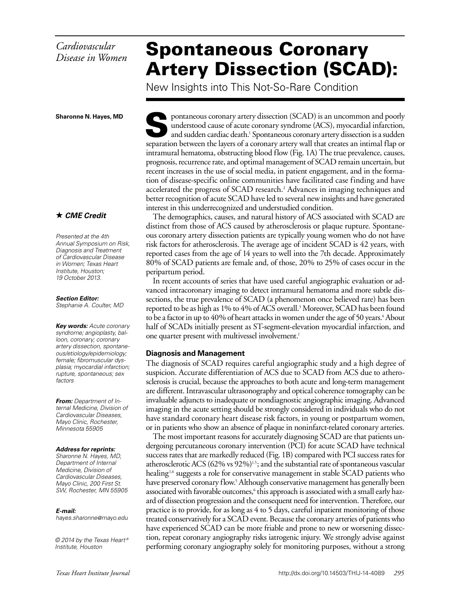# *Cardiovascular Disease in Women*

# Spontaneous Coronary Artery Dissection (SCAD):

New Insights into This Not-So-Rare Condition

**Sharonne N. Hayes, MD**

### *CME Credit*

*Presented at the 4th Annual Symposium on Risk, Diagnosis and Treatment of Cardiovascular Disease in Women; Texas Heart Institute, Houston; 19 October 2013.*

*Section Editor: Stephanie A. Coulter, MD*

*Key words: Acute coronary syndrome; angioplasty, balloon, coronary; coronary artery dissection, spontaneous/etiology/epidemiology; female; fibromuscular dysplasia; myocardial infarction; rupture, spontaneous; sex factors*

*From: Department of Internal Medicine, Division of Cardiovascular Diseases, Mayo Clinic, Rochester, Minnesota 55905*

#### *Address for reprints:*

*Sharonne N. Hayes, MD, Department of Internal Medicine, Division of Cardiovascular Diseases, Mayo Clinic, 200 First St. SW, Rochester, MN 55905*

*E-mail:*

*hayes.sharonne@mayo.edu*

*© 2014 by the Texas Heart ® Institute, Houston*

pontaneous coronary artery dissection (SCAD) is an uncommon and poorly understood cause of acute coronary syndrome (ACS), myocardial infarction, and sudden cardiac death.<sup>1</sup> Spontaneous coronary artery dissection is a sudden separation between the layers of a coronary artery wall that creates an intimal flap or intramural hematoma, obstructing blood flow (Fig. 1A) The true prevalence, causes, prognosis, recurrence rate, and optimal management of SCAD remain uncertain, but recent increases in the use of social media, in patient engagement, and in the formation of disease-specific online communities have facilitated case finding and have accelerated the progress of SCAD research.<sup>2</sup> Advances in imaging techniques and better recognition of acute SCAD have led to several new insights and have generated interest in this underrecognized and understudied condition.

The demographics, causes, and natural history of ACS associated with SCAD are distinct from those of ACS caused by atherosclerosis or plaque rupture. Spontaneous coronary artery dissection patients are typically young women who do not have risk factors for atherosclerosis. The average age of incident SCAD is 42 years, with reported cases from the age of 14 years to well into the 7th decade. Approximately 80% of SCAD patients are female and, of those, 20% to 25% of cases occur in the peripartum period.

In recent accounts of series that have used careful angiographic evaluation or advanced intracoronary imaging to detect intramural hematoma and more subtle dissections, the true prevalence of SCAD (a phenomenon once believed rare) has been reported to be as high as 1% to 4% of ACS overall.<sup>3</sup> Moreover, SCAD has been found to be a factor in up to 40% of heart attacks in women under the age of 50 years.<sup>4</sup> About half of SCADs initially present as ST-segment-elevation myocardial infarction, and one quarter present with multivessel involvement.<sup>1</sup>

#### **Diagnosis and Management**

The diagnosis of SCAD requires careful angiographic study and a high degree of suspicion. Accurate differentiation of ACS due to SCAD from ACS due to atherosclerosis is crucial, because the approaches to both acute and long-term management are different. Intravascular ultrasonography and optical coherence tomography can be invaluable adjuncts to inadequate or nondiagnostic angiographic imaging. Advanced imaging in the acute setting should be strongly considered in individuals who do not have standard coronary heart disease risk factors, in young or postpartum women, or in patients who show an absence of plaque in noninfarct-related coronary arteries.

The most important reasons for accurately diagnosing SCAD are that patients undergoing percutaneous coronary intervention (PCI) for acute SCAD have technical success rates that are markedly reduced (Fig. 1B) compared with PCI success rates for atherosclerotic ACS  $(62\% \text{ vs } 92\%)^{1.5}$ ; and the substantial rate of spontaneous vascular healing<sup>1,6</sup> suggests a role for conservative management in stable SCAD patients who have preserved coronary flow.<sup>5</sup> Although conservative management has generally been associated with favorable outcomes,<sup>6</sup> this approach is associated with a small early hazard of dissection progression and the consequent need for intervention. Therefore, our practice is to provide, for as long as 4 to 5 days, careful inpatient monitoring of those treated conservatively for a SCAD event. Because the coronary arteries of patients who have experienced SCAD can be more friable and prone to new or worsening dissection, repeat coronary angiography risks iatrogenic injury. We strongly advise against performing coronary angiography solely for monitoring purposes, without a strong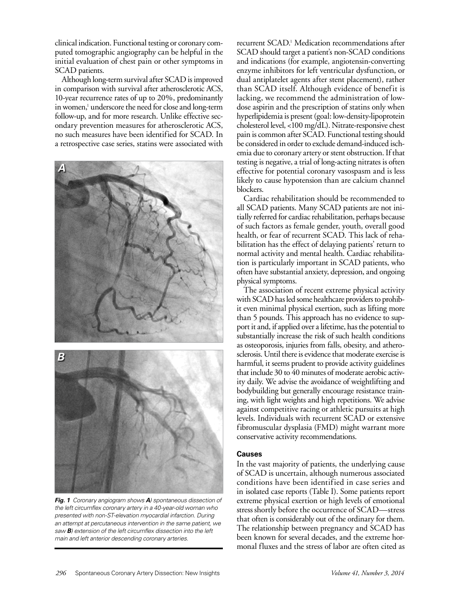clinical indication. Functional testing or coronary computed tomographic angiography can be helpful in the initial evaluation of chest pain or other symptoms in SCAD patients.

Although long-term survival after SCAD is improved in comparison with survival after atherosclerotic ACS, 10-year recurrence rates of up to 20%, predominantly in women,<sup>1</sup> underscore the need for close and long-term follow-up, and for more research. Unlike effective secondary prevention measures for atherosclerotic ACS, no such measures have been identified for SCAD. In a retrospective case series, statins were associated with



*Fig. 1 Coronary angiogram shows A) spontaneous dissection of the left circumflex coronary artery in a 40-year-old woman who presented with non-ST-elevation myocardial infarction. During an attempt at percutaneous intervention in the same patient, we saw B) extension of the left circumflex dissection into the left main and left anterior descending coronary arteries.*

recurrent SCAD.<sup>1</sup> Medication recommendations after SCAD should target a patient's non-SCAD conditions and indications (for example, angiotensin-converting enzyme inhibitors for left ventricular dysfunction, or dual antiplatelet agents after stent placement), rather than SCAD itself. Although evidence of benefit is lacking, we recommend the administration of lowdose aspirin and the prescription of statins only when hyperlipidemia is present (goal: low-density-lipoprotein cholesterol level, <100 mg/dL). Nitrate-responsive chest pain is common after SCAD. Functional testing should be considered in order to exclude demand-induced ischemia due to coronary artery or stent obstruction. If that testing is negative, a trial of long-acting nitrates is often effective for potential coronary vasospasm and is less likely to cause hypotension than are calcium channel blockers.

Cardiac rehabilitation should be recommended to all SCAD patients. Many SCAD patients are not initially referred for cardiac rehabilitation, perhaps because of such factors as female gender, youth, overall good health, or fear of recurrent SCAD. This lack of rehabilitation has the effect of delaying patients' return to normal activity and mental health. Cardiac rehabilitation is particularly important in SCAD patients, who often have substantial anxiety, depression, and ongoing physical symptoms.

The association of recent extreme physical activity with SCAD has led some healthcare providers to prohibit even minimal physical exertion, such as lifting more than 5 pounds. This approach has no evidence to support it and, if applied over a lifetime, has the potential to substantially increase the risk of such health conditions as osteoporosis, injuries from falls, obesity, and atherosclerosis. Until there is evidence that moderate exercise is harmful, it seems prudent to provide activity guidelines that include 30 to 40 minutes of moderate aerobic activity daily. We advise the avoidance of weightlifting and bodybuilding but generally encourage resistance training, with light weights and high repetitions. We advise against competitive racing or athletic pursuits at high levels. Individuals with recurrent SCAD or extensive fibromuscular dysplasia (FMD) might warrant more conservative activity recommendations.

#### **Causes**

In the vast majority of patients, the underlying cause of SCAD is uncertain, although numerous associated conditions have been identified in case series and in isolated case reports (Table I). Some patients report extreme physical exertion or high levels of emotional stress shortly before the occurrence of SCAD—stress that often is considerably out of the ordinary for them. The relationship between pregnancy and SCAD has been known for several decades, and the extreme hormonal fluxes and the stress of labor are often cited as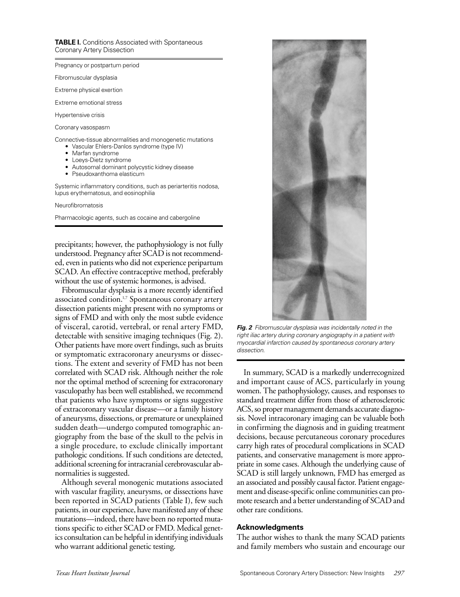**TABLE I.** Conditions Associated with Spontaneous Coronary Artery Dissection

Pregnancy or postpartum period

Fibromuscular dysplasia

Extreme physical exertion

Extreme emotional stress

Hypertensive crisis

Coronary vasospasm

Connective-tissue abnormalities and monogenetic mutations

- Vascular Ehlers-Danlos syndrome (type IV)
- Marfan syndrome
- Loeys-Dietz syndrome • Autosomal dominant polycystic kidney disease
- 
- Pseudoxanthoma elasticum

Systemic inflammatory conditions, such as periarteritis nodosa, lupus erythematosus, and eosinophilia

Neurofibromatosis

Pharmacologic agents, such as cocaine and cabergoline

precipitants; however, the pathophysiology is not fully understood. Pregnancy after SCAD is not recommended, even in patients who did not experience peripartum SCAD. An effective contraceptive method, preferably without the use of systemic hormones, is advised.

Fibromuscular dysplasia is a more recently identified associated condition.<sup>1,7</sup> Spontaneous coronary artery dissection patients might present with no symptoms or signs of FMD and with only the most subtle evidence of visceral, carotid, vertebral, or renal artery FMD, detectable with sensitive imaging techniques (Fig. 2). Other patients have more overt findings, such as bruits or symptomatic extracoronary aneurysms or dissections. The extent and severity of FMD has not been correlated with SCAD risk. Although neither the role nor the optimal method of screening for extracoronary vasculopathy has been well established, we recommend that patients who have symptoms or signs suggestive of extracoronary vascular disease—or a family history of aneurysms, dissections, or premature or unexplained sudden death—undergo computed tomographic angiography from the base of the skull to the pelvis in a single procedure, to exclude clinically important pathologic conditions. If such conditions are detected, additional screening for intracranial cerebrovascular abnormalities is suggested.

Although several monogenic mutations associated with vascular fragility, aneurysms, or dissections have been reported in SCAD patients (Table I), few such patients, in our experience, have manifested any of these mutations—indeed, there have been no reported mutations specific to either SCAD or FMD. Medical genetics consultation can be helpful in identifying individuals who warrant additional genetic testing.



*Fig. 2 Fibromuscular dysplasia was incidentally noted in the right iliac artery during coronary angiography in a patient with myocardial infarction caused by spontaneous coronary artery dissection.*

In summary, SCAD is a markedly underrecognized and important cause of ACS, particularly in young women. The pathophysiology, causes, and responses to standard treatment differ from those of atherosclerotic ACS, so proper management demands accurate diagnosis. Novel intracoronary imaging can be valuable both in confirming the diagnosis and in guiding treatment decisions, because percutaneous coronary procedures carry high rates of procedural complications in SCAD patients, and conservative management is more appropriate in some cases. Although the underlying cause of SCAD is still largely unknown, FMD has emerged as an associated and possibly causal factor. Patient engagement and disease-specific online communities can promote research and a better understanding of SCAD and other rare conditions.

#### **Acknowledgments**

The author wishes to thank the many SCAD patients and family members who sustain and encourage our